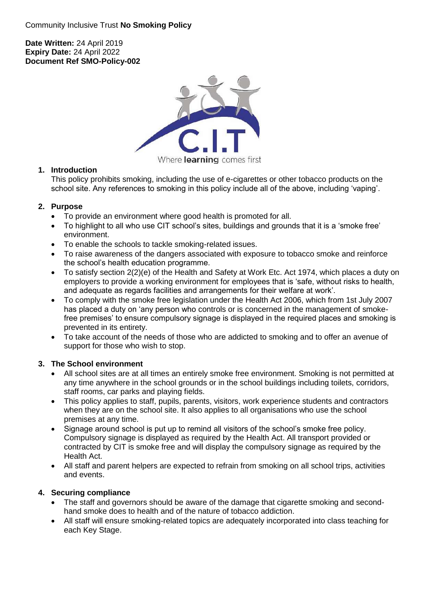#### **Date Written:** 24 April 2019 **Expiry Date:** 24 April 2022 **Document Ref SMO-Policy-002**



# Where learning comes first

## **1. Introduction**

This policy prohibits smoking, including the use of e-cigarettes or other tobacco products on the school site. Any references to smoking in this policy include all of the above, including 'vaping'.

# **2. Purpose**

- To provide an environment where good health is promoted for all.
- To highlight to all who use CIT school's sites, buildings and grounds that it is a 'smoke free' environment.
- To enable the schools to tackle smoking-related issues.
- To raise awareness of the dangers associated with exposure to tobacco smoke and reinforce the school's health education programme.
- To satisfy section 2(2)(e) of the Health and Safety at Work Etc. Act 1974, which places a duty on employers to provide a working environment for employees that is 'safe, without risks to health, and adequate as regards facilities and arrangements for their welfare at work'.
- To comply with the smoke free legislation under the Health Act 2006, which from 1st July 2007 has placed a duty on 'any person who controls or is concerned in the management of smokefree premises' to ensure compulsory signage is displayed in the required places and smoking is prevented in its entirety.
- To take account of the needs of those who are addicted to smoking and to offer an avenue of support for those who wish to stop.

# **3. The School environment**

- All school sites are at all times an entirely smoke free environment. Smoking is not permitted at any time anywhere in the school grounds or in the school buildings including toilets, corridors, staff rooms, car parks and playing fields.
- This policy applies to staff, pupils, parents, visitors, work experience students and contractors when they are on the school site. It also applies to all organisations who use the school premises at any time.
- Signage around school is put up to remind all visitors of the school's smoke free policy. Compulsory signage is displayed as required by the Health Act. All transport provided or contracted by CIT is smoke free and will display the compulsory signage as required by the Health Act.
- All staff and parent helpers are expected to refrain from smoking on all school trips, activities and events.

# **4. Securing compliance**

- The staff and governors should be aware of the damage that cigarette smoking and secondhand smoke does to health and of the nature of tobacco addiction.
- All staff will ensure smoking-related topics are adequately incorporated into class teaching for each Key Stage.